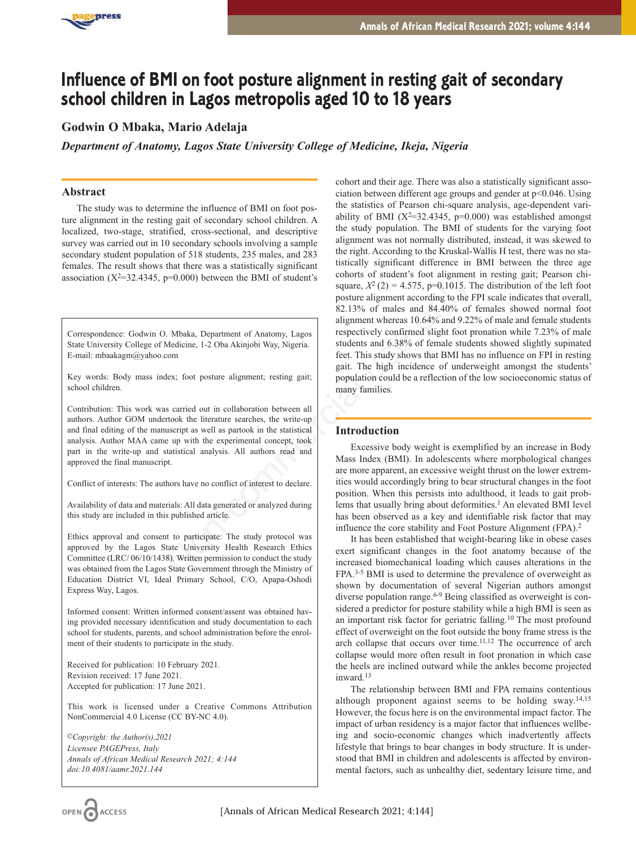

# **Influence of BMI on foot posture alignment in resting gait of secondary school children in Lagos metropolis aged 10 to 18 years**

# **Godwin O Mbaka, Mario Adelaja**

*Department of Anatomy, Lagos State University College of Medicine, Ikeja, Nigeria*

# **Abstract**

The study was to determine the influence of BMI on foot posture alignment in the resting gait of secondary school children. A localized, two-stage, stratified, cross-sectional, and descriptive survey was carried out in 10 secondary schools involving a sample secondary student population of 518 students, 235 males, and 283 females. The result shows that there was a statistically significant association ( $X^2=32.4345$ ,  $p=0.000$ ) between the BMI of student's

Correspondence: Godwin O. Mbaka, Department of Anatomy, Lagos State University College of Medicine, 1-2 Oba Akinjobi Way, Nigeria. E-mail: mbaakagm@yahoo.com

Key words: Body mass index; foot posture alignment; resting gait; school children.

Contribution: This work was carried out in collaboration between all authors. Author GOM undertook the literature searches, the write-up and final editing of the manuscript as well as partook in the statistical analysis. Author MAA came up with the experimental concept, took part in the write-up and statistical analysis. All authors read and approved the final manuscript.

Conflict of interests: The authors have no conflict of interest to declare.

Availability of data and materials: All data generated or analyzed during this study are included in this published article.

Ethics approval and consent to participate: The study protocol was approved by the Lagos State University Health Research Ethics Committee (LRC/ 06/10/1438). Written permission to conduct the study was obtained from the Lagos State Government through the Ministry of Education District VI, Ideal Primary School, C/O, Apapa-Oshodi Express Way, Lagos.

Informed consent: Written informed consent/assent was obtained having provided necessary identification and study documentation to each school for students, parents, and school administration before the enrolment of their students to participate in the study.

Received for publication: 10 February 2021. Revision received: 17 June 2021. Accepted for publication: 17 June 2021.

This work is licensed under a Creative Commons Attribution NonCommercial 4.0 License (CC BY-NC 4.0).

*©Copyright: the Author(s),2021 Licensee PAGEPress, Italy Annals of African Medical Research 2021; 4:144 doi:10.4081/aamr.2021*.*144*

cohort and their age. There was also a statistically significant association between different age groups and gender at p<0.046. Using the statistics of Pearson chi-square analysis, age-dependent variability of BMI ( $X^2=32.4345$ , p=0.000) was established amongst the study population. The BMI of students for the varying foot alignment was not normally distributed, instead, it was skewed to the right. According to the Kruskal-Wallis H test, there was no statistically significant difference in BMI between the three age cohorts of student's foot alignment in resting gait; Pearson chisquare,  $X^2$  (2) = 4.575, p=0.1015. The distribution of the left foot posture alignment according to the FPI scale indicates that overall, 82.13% of males and 84.40% of females showed normal foot alignment whereas 10.64% and 9.22% of male and female students respectively confirmed slight foot pronation while 7.23% of male students and 6.38% of female students showed slightly supinated feet. This study shows that BMI has no influence on FPI in resting gait. The high incidence of underweight amongst the students' population could be a reflection of the low socioeconomic status of many families.  $-9-0.000$ ) between the BMI of student's<br>
square,  $X^2$  (2) = 4.575, p-0.1015. T<br>
square,  $X^2$  (2) = 4.575, p-0.1015. T<br>
Mokka, Department of Anatomy, Lagos<br>
alignment whereas 10.64% ond 9.22<br>
. Mokka, Department of Anat

# **Introduction**

Excessive body weight is exemplified by an increase in Body Mass Index (BMI). In adolescents where morphological changes are more apparent, an excessive weight thrust on the lower extremities would accordingly bring to bear structural changes in the foot position. When this persists into adulthood, it leads to gait problems that usually bring about deformities.<sup>1</sup> An elevated BMI level has been observed as a key and identifiable risk factor that may influence the core stability and Foot Posture Alignment (FPA).2

It has been established that weight-bearing like in obese cases exert significant changes in the foot anatomy because of the increased biomechanical loading which causes alterations in the FPA.3-5 BMI is used to determine the prevalence of overweight as shown by documentation of several Nigerian authors amongst diverse population range.<sup>6-9</sup> Being classified as overweight is considered a predictor for posture stability while a high BMI is seen as an important risk factor for geriatric falling.10 The most profound effect of overweight on the foot outside the bony frame stress is the arch collapse that occurs over time.11,12 The occurrence of arch collapse would more often result in foot pronation in which case the heels are inclined outward while the ankles become projected inward.13

The relationship between BMI and FPA remains contentious although proponent against seems to be holding sway.14,15 However, the focus here is on the environmental impact factor. The impact of urban residency is a major factor that influences wellbeing and socio-economic changes which inadvertently affects lifestyle that brings to bear changes in body structure. It is understood that BMI in children and adolescents is affected by environmental factors, such as unhealthy diet, sedentary leisure time, and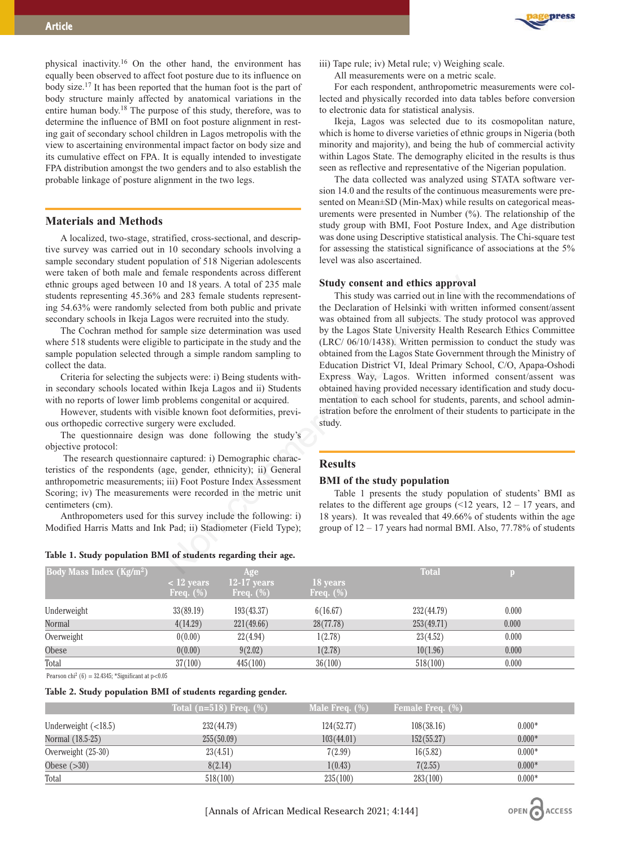

physical inactivity.16 On the other hand, the environment has equally been observed to affect foot posture due to its influence on body size.17 It has been reported that the human foot is the part of body structure mainly affected by anatomical variations in the entire human body.18 The purpose of this study, therefore, was to determine the influence of BMI on foot posture alignment in resting gait of secondary school children in Lagos metropolis with the view to ascertaining environmental impact factor on body size and its cumulative effect on FPA. It is equally intended to investigate FPA distribution amongst the two genders and to also establish the probable linkage of posture alignment in the two legs.

## **Materials and Methods**

A localized, two-stage, stratified, cross-sectional, and descriptive survey was carried out in 10 secondary schools involving a sample secondary student population of 518 Nigerian adolescents were taken of both male and female respondents across different ethnic groups aged between 10 and 18 years. A total of 235 male students representing 45.36% and 283 female students representing 54.63% were randomly selected from both public and private secondary schools in Ikeja Lagos were recruited into the study.

The Cochran method for sample size determination was used where 518 students were eligible to participate in the study and the sample population selected through a simple random sampling to collect the data.

Criteria for selecting the subjects were: i) Being students within secondary schools located within Ikeja Lagos and ii) Students with no reports of lower limb problems congenital or acquired.

However, students with visible known foot deformities, previous orthopedic corrective surgery were excluded.

The questionnaire design was done following the study's objective protocol:

The research questionnaire captured: i) Demographic characteristics of the respondents (age, gender, ethnicity); ii) General anthropometric measurements; iii) Foot Posture Index Assessment Scoring; iv) The measurements were recorded in the metric unit centimeters (cm).

Anthropometers used for this survey include the following: i) Modified Harris Matts and Ink Pad; ii) Stadiometer (Field Type);

#### **Table 1. Study population BMI of students regarding their age.**

iii) Tape rule; iv) Metal rule; v) Weighing scale.

All measurements were on a metric scale.

For each respondent, anthropometric measurements were collected and physically recorded into data tables before conversion to electronic data for statistical analysis.

Ikeja, Lagos was selected due to its cosmopolitan nature, which is home to diverse varieties of ethnic groups in Nigeria (both minority and majority), and being the hub of commercial activity within Lagos State. The demography elicited in the results is thus seen as reflective and representative of the Nigerian population.

The data collected was analyzed using STATA software version 14.0 and the results of the continuous measurements were presented on Mean±SD (Min-Max) while results on categorical measurements were presented in Number (%). The relationship of the study group with BMI, Foot Posture Index, and Age distribution was done using Descriptive statistical analysis. The Chi-square test for assessing the statistical significance of associations at the 5% level was also ascertained.

#### **Study consent and ethics approval**

This study was carried out in line with the recommendations of the Declaration of Helsinki with written informed consent/assent was obtained from all subjects. The study protocol was approved by the Lagos State University Health Research Ethics Committee (LRC/ 06/10/1438). Written permission to conduct the study was obtained from the Lagos State Government through the Ministry of Education District VI, Ideal Primary School, C/O, Apapa-Oshodi Express Way, Lagos. Written informed consent/assent was obtained having provided necessary identification and study documentation to each school for students, parents, and school administration before the enrolment of their students to participate in the study. Frame transformation actors unretead for the sumption and 18 years. A total of 235 male<br>
and 18 years. A total of 235 male<br>
exted from bublic and private the Declaration of Helsinki with twitten<br>
exted from all subjects.

### **Results**

## **BMI of the study population**

Table 1 presents the study population of students' BMI as relates to the different age groups  $($  < 12 years, 12 – 17 years, and 18 years). It was revealed that 49.66% of students within the age group of 12 – 17 years had normal BMI. Also, 77.78% of students

| .                                         |                 | ັ<br>$\cdot$<br>$\cdots$ |              |              |       |  |
|-------------------------------------------|-----------------|--------------------------|--------------|--------------|-------|--|
| <b>Body Mass Index (Kg/m<sup>2</sup>)</b> |                 | Age                      |              | <b>Total</b> |       |  |
|                                           | $\sim$ 12 years | $12-17$ years            | 18 years     |              |       |  |
|                                           | Freq. $(\%)$    | Freq. $(\%)$             | Freq. $(\%)$ |              |       |  |
| Underweight                               | 33(89.19)       | 193(43.37)               | 6(16.67)     | 232(44.79)   | 0.000 |  |
| Normal                                    | 4(14.29)        | 221(49.66)               | 28(77.78)    | 253(49.71)   | 0.000 |  |
| Overweight                                | 0(0.00)         | 22(4.94)                 | 1(2.78)      | 23(4.52)     | 0.000 |  |
| Obese                                     | 0(0.00)         | 9(2.02)                  | 1(2.78)      | 10(1.96)     | 0.000 |  |
| Total                                     | 37(100)         | 445(100)                 | 36(100)      | 518(100)     | 0.000 |  |

Pearson chi<sup>2</sup> (6) = 32.4345; \*Significant at  $p<0.05$ 

#### **Table 2. Study population BMI of students regarding gender.**

|                       | Total $(n=518)$ Freq. $(\%)$ | Male Freq. $(\%)$ | <b>Female Freq.</b> (%) |          |
|-----------------------|------------------------------|-------------------|-------------------------|----------|
| Underweight $(<18.5)$ | 232(44.79)                   | 124(52.77)        | 108(38.16)              | $0.000*$ |
| Normal (18.5-25)      | 255(50.09)                   | 103(44.01)        | 152(55.27)              | $0.000*$ |
| Overweight (25-30)    | 23(4.51)                     | 7(2.99)           | 16(5.82)                | $0.000*$ |
| Obese $(>30)$         | 8(2.14)                      | 1(0.43)           | 7(2.55)                 | $0.000*$ |
| Total                 | 518(100)                     | 235(100)          | 283(100)                | $0.000*$ |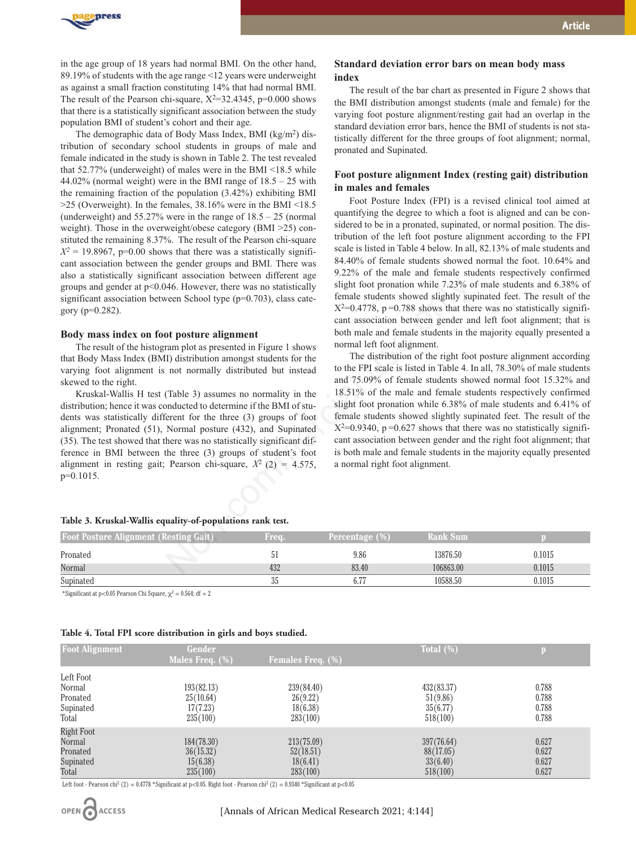

in the age group of 18 years had normal BMI. On the other hand, 89.19% of students with the age range <12 years were underweight as against a small fraction constituting 14% that had normal BMI. The result of the Pearson chi-square,  $X^2=32.4345$ , p=0.000 shows that there is a statistically significant association between the study population BMI of student's cohort and their age.

The demographic data of Body Mass Index, BMI (kg/m2) distribution of secondary school students in groups of male and female indicated in the study is shown in Table 2. The test revealed that 52.77% (underweight) of males were in the BMI <18.5 while 44.02% (normal weight) were in the BMI range of 18.5 – 25 with the remaining fraction of the population (3.42%) exhibiting BMI  $>$ 25 (Overweight). In the females, 38.16% were in the BMI <18.5 (underweight) and 55.27% were in the range of 18.5 – 25 (normal weight). Those in the overweight/obese category (BMI >25) constituted the remaining 8.37%. The result of the Pearson chi-square  $X^2 = 19.8967$ , p=0.00 shows that there was a statistically significant association between the gender groups and BMI. There was also a statistically significant association between different age groups and gender at p<0.046. However, there was no statistically significant association between School type (p=0.703), class category (p=0.282).

#### **Body mass index on foot posture alignment**

The result of the histogram plot as presented in Figure 1 shows that Body Mass Index (BMI) distribution amongst students for the varying foot alignment is not normally distributed but instead skewed to the right.

Kruskal-Wallis H test (Table 3) assumes no normality in the distribution; hence it was conducted to determine if the BMI of students was statistically different for the three (3) groups of foot alignment; Pronated (51), Normal posture (432), and Supinated (35). The test showed that there was no statistically significant difference in BMI between the three (3) groups of student's foot alignment in resting gait; Pearson chi-square,  $X^2$  (2) = 4.575,  $p=0.1015$ .

#### **Table 3. Kruskal-Wallis equality-of-populations rank test.**

The result of the bar chart as presented in Figure 2 shows that the BMI distribution amongst students (male and female) for the varying foot posture alignment/resting gait had an overlap in the standard deviation error bars, hence the BMI of students is not statistically different for the three groups of foot alignment; normal, pronated and Supinated.

## **Foot posture alignment Index (resting gait) distribution in males and females**

Foot Posture Index (FPI) is a revised clinical tool aimed at quantifying the degree to which a foot is aligned and can be considered to be in a pronated, supinated, or normal position. The distribution of the left foot posture alignment according to the FPI scale is listed in Table 4 below. In all, 82.13% of male students and 84.40% of female students showed normal the foot. 10.64% and 9.22% of the male and female students respectively confirmed slight foot pronation while 7.23% of male students and 6.38% of female students showed slightly supinated feet. The result of the  $X^2=0.4778$ , p=0.788 shows that there was no statistically significant association between gender and left foot alignment; that is both male and female students in the majority equally presented a normal left foot alignment.

The distribution of the right foot posture alignment according to the FPI scale is listed in Table 4. In all, 78.30% of male students and 75.09% of female students showed normal foot 15.32% and 18.51% of the male and female students respectively confirmed slight foot pronation while 6.38% of male students and 6.41% of female students showed slightly supinated feet. The result of the  $X^2=0.9340$ ,  $p=0.627$  shows that there was no statistically significant association between gender and the right foot alignment; that is both male and female students in the majority equally presented a normal right foot alignment. and association between direction<br>
446. However, there was no statistically slight foot pronation while 7.23% of<br>
ween School type (p=0.703), class cate-<br>
fremale students showed slightly sure<br>
and the posture alignment<br>

| <b>Foot Posture Alignment (Resting Gait)</b> | Freq. | Percentage $(\%)$ | <b>Rank Sum</b> |        |
|----------------------------------------------|-------|-------------------|-----------------|--------|
| Pronated                                     | Эl    | 9.86              | 13876.50        | 0.1015 |
| Normal                                       | 432   | 83.40             | 106863.00       | 0.1015 |
| Supinated                                    | 35    | 6.77              | 10588.50        | 0.1015 |

**index** 

\*Significant at p<0.05 Pearson Chi Square,  $\chi^2 = 0.564$ ; df = 2

#### **Table 4. Total FPI score distribution in girls and boys studied.**

| <b>Foot Alignment</b> | Gender          |                             |              |       |
|-----------------------|-----------------|-----------------------------|--------------|-------|
|                       | Males Freq. (%) | <b>Females Freq.</b> $(\%)$ | Total $(\%)$ |       |
| Left Foot             |                 |                             |              |       |
| Normal                | 193(82.13)      | 239(84.40)                  | 432(83.37)   | 0.788 |
| Pronated              | 25(10.64)       | 26(9.22)                    | 51(9.86)     | 0.788 |
| Supinated             | 17(7.23)        | 18(6.38)                    | 35(6.77)     | 0.788 |
| Total                 | 235(100)        | 283(100)                    | 518(100)     | 0.788 |
| <b>Right Foot</b>     |                 |                             |              |       |
| Normal                | 184(78.30)      | 213(75.09)                  | 397(76.64)   | 0.627 |
| Pronated              | 36(15.32)       | 52(18.51)                   | 88(17.05)    | 0.627 |
| Supinated             | 15(6.38)        | 18(6.41)                    | 33(6.40)     | 0.627 |
| Total                 | 235(100)        | 283(100)                    | 518(100)     | 0.627 |

Left foot - Pearson chi<sup>2</sup> (2) = 0.4778 \*Significant at p<0.05. Right foot - Pearson chi<sup>2</sup> (2) = 0.9340 \*Significant at p<0.05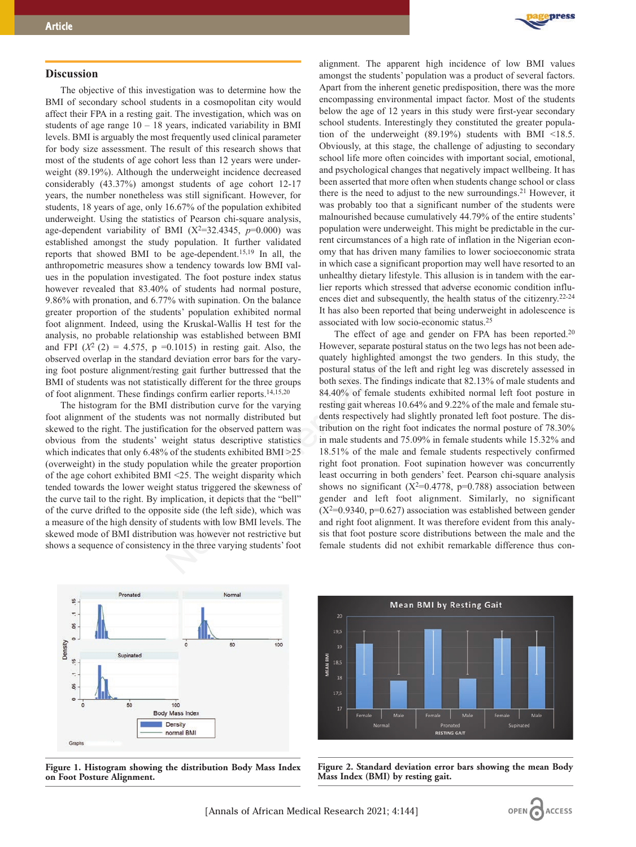## **Discussion**

The objective of this investigation was to determine how the BMI of secondary school students in a cosmopolitan city would affect their FPA in a resting gait. The investigation, which was on students of age range  $10 - 18$  years, indicated variability in BMI levels. BMI is arguably the most frequently used clinical parameter for body size assessment. The result of this research shows that most of the students of age cohort less than 12 years were underweight (89.19%). Although the underweight incidence decreased considerably (43.37%) amongst students of age cohort 12-17 years, the number nonetheless was still significant. However, for students, 18 years of age, only 16.67% of the population exhibited underweight. Using the statistics of Pearson chi-square analysis, age-dependent variability of BMI  $(X^2=32.4345, p=0.000)$  was established amongst the study population. It further validated reports that showed BMI to be age-dependent.<sup>15,19</sup> In all, the anthropometric measures show a tendency towards low BMI values in the population investigated. The foot posture index status however revealed that 83.40% of students had normal posture, 9.86% with pronation, and 6.77% with supination. On the balance greater proportion of the students' population exhibited normal foot alignment. Indeed, using the Kruskal-Wallis H test for the analysis, no probable relationship was established between BMI and FPI  $(X^2 (2) = 4.575, p = 0.1015)$  in resting gait. Also, the observed overlap in the standard deviation error bars for the varying foot posture alignment/resting gait further buttressed that the BMI of students was not statistically different for the three groups of foot alignment. These findings confirm earlier reports.14,15,20

The histogram for the BMI distribution curve for the varying foot alignment of the students was not normally distributed but skewed to the right. The justification for the observed pattern was obvious from the students' weight status descriptive statistics which indicates that only 6.48% of the students exhibited BMI >25 (overweight) in the study population while the greater proportion of the age cohort exhibited BMI <25. The weight disparity which tended towards the lower weight status triggered the skewness of the curve tail to the right. By implication, it depicts that the "bell" of the curve drifted to the opposite side (the left side), which was a measure of the high density of students with low BMI levels. The skewed mode of BMI distribution was however not restrictive but shows a sequence of consistency in the three varying students' foot



alignment. The apparent high incidence of low BMI values amongst the students' population was a product of several factors. Apart from the inherent genetic predisposition, there was the more encompassing environmental impact factor. Most of the students below the age of 12 years in this study were first-year secondary school students. Interestingly they constituted the greater population of the underweight (89.19%) students with BMI <18.5. Obviously, at this stage, the challenge of adjusting to secondary school life more often coincides with important social, emotional, and psychological changes that negatively impact wellbeing. It has been asserted that more often when students change school or class there is the need to adjust to the new surroundings.<sup>21</sup> However, it was probably too that a significant number of the students were malnourished because cumulatively 44.79% of the entire students' population were underweight. This might be predictable in the current circumstances of a high rate of inflation in the Nigerian economy that has driven many families to lower socioeconomic strata in which case a significant proportion may well have resorted to an unhealthy dietary lifestyle. This allusion is in tandem with the earlier reports which stressed that adverse economic condition influences diet and subsequently, the health status of the citizenry.22-24 It has also been reported that being underweight in adolescence is associated with low socio-economic status.25

The effect of age and gender on FPA has been reported.<sup>20</sup> However, separate postural status on the two legs has not been adequately highlighted amongst the two genders. In this study, the postural status of the left and right leg was discretely assessed in both sexes. The findings indicate that 82.13% of male students and 84.40% of female students exhibited normal left foot posture in resting gait whereas 10.64% and 9.22% of the male and female students respectively had slightly pronated left foot posture. The distribution on the right foot indicates the normal posture of 78.30% in male students and 75.09% in female students while 15.32% and 18.51% of the male and female students respectively confirmed right foot pronation. Foot supination however was concurrently least occurring in both genders' feet. Pearson chi-square analysis shows no significant ( $X^2=0.4778$ , p=0.788) association between gender and left foot alignment. Similarly, no significant  $(X^2=0.9340, p=0.627)$  association was established between gender and right foot alignment. It was therefore evident from this analysis that foot posture score distributions between the male and the female students did not exhibit remarkable difference thus con the foot posture index status<br>
of a for stotents had normal posture.<br>
Let reprorts which stressed that adverse for students' population. On the balance<br>
<sup>1</sup> for reprorts which stressed that being under<br>
<sup>976</sup>, with supina



**Figure 1. Histogram showing the distribution Body Mass Index on Foot Posture Alignment.**